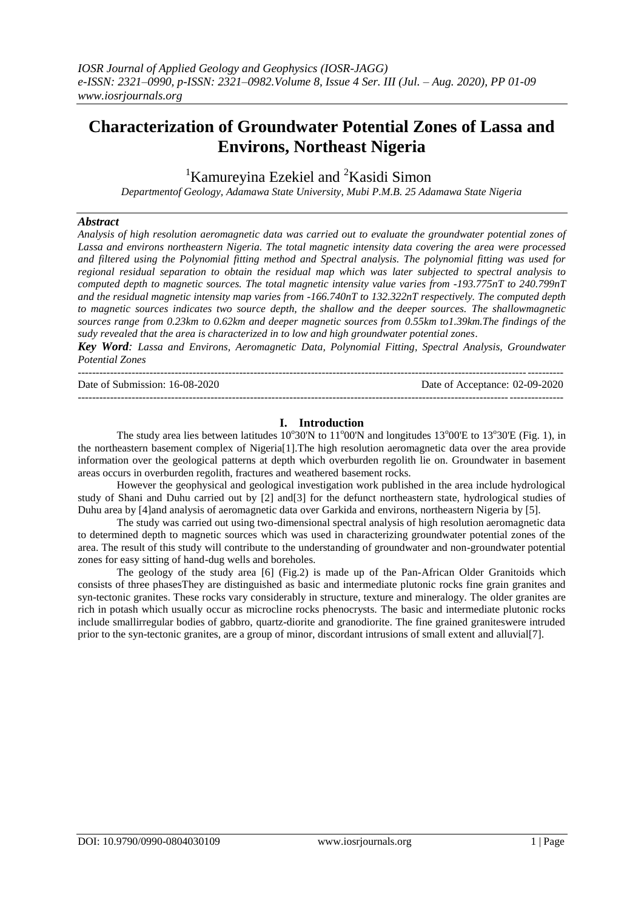# **Characterization of Groundwater Potential Zones of Lassa and Environs, Northeast Nigeria**

<sup>1</sup>Kamureyina Ezekiel and <sup>2</sup>Kasidi Simon

*Departmentof Geology, Adamawa State University, Mubi P.M.B. 25 Adamawa State Nigeria*

#### *Abstract*

*Analysis of high resolution aeromagnetic data was carried out to evaluate the groundwater potential zones of Lassa and environs northeastern Nigeria. The total magnetic intensity data covering the area were processed and filtered using the Polynomial fitting method and Spectral analysis. The polynomial fitting was used for regional residual separation to obtain the residual map which was later subjected to spectral analysis to computed depth to magnetic sources. The total magnetic intensity value varies from -193.775nT to 240.799nT and the residual magnetic intensity map varies from -166.740nT to 132.322nT respectively. The computed depth to magnetic sources indicates two source depth, the shallow and the deeper sources. The shallowmagnetic sources range from 0.23km to 0.62km and deeper magnetic sources from 0.55km to1.39km.The findings of the sudy revealed that the area is characterized in to low and high groundwater potential zones.*

*Key Word: Lassa and Environs, Aeromagnetic Data, Polynomial Fitting, Spectral Analysis, Groundwater Potential Zones*

---------------------------------------------------------------------------------------------------------------------------------------

Date of Submission: 16-08-2020 Date of Acceptance: 02-09-2020

## **I. Introduction**

---------------------------------------------------------------------------------------------------------------------------------------

The study area lies between latitudes  $10^{\circ}30'N$  to  $11^{\circ}00'N$  and longitudes  $13^{\circ}00'E$  to  $13^{\circ}30'E$  (Fig. 1), in the northeastern basement complex of Nigeria[1].The high resolution aeromagnetic data over the area provide information over the geological patterns at depth which overburden regolith lie on. Groundwater in basement areas occurs in overburden regolith, fractures and weathered basement rocks.

However the geophysical and geological investigation work published in the area include hydrological study of Shani and Duhu carried out by [2] and[3] for the defunct northeastern state, hydrological studies of Duhu area by [4]and analysis of aeromagnetic data over Garkida and environs, northeastern Nigeria by [5].

The study was carried out using two-dimensional spectral analysis of high resolution aeromagnetic data to determined depth to magnetic sources which was used in characterizing groundwater potential zones of the area. The result of this study will contribute to the understanding of groundwater and non-groundwater potential zones for easy sitting of hand-dug wells and boreholes.

The geology of the study area [6] (Fig.2) is made up of the Pan-African Older Granitoids which consists of three phasesThey are distinguished as basic and intermediate plutonic rocks fine grain granites and syn-tectonic granites. These rocks vary considerably in structure, texture and mineralogy. The older granites are rich in potash which usually occur as microcline rocks phenocrysts. The basic and intermediate plutonic rocks include smallirregular bodies of gabbro, quartz-diorite and granodiorite. The fine grained graniteswere intruded prior to the syn-tectonic granites, are a group of minor, discordant intrusions of small extent and alluvial[7].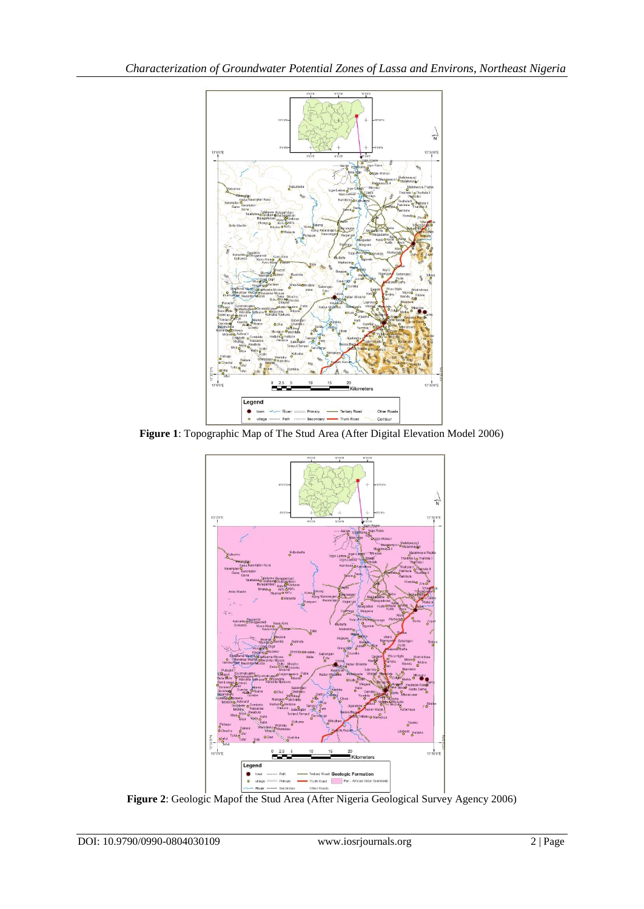

**Figure 1**: Topographic Map of The Stud Area (After Digital Elevation Model 2006)



Figure 2: Geologic Mapof the Stud Area (After Nigeria Geological Survey Agency 2006)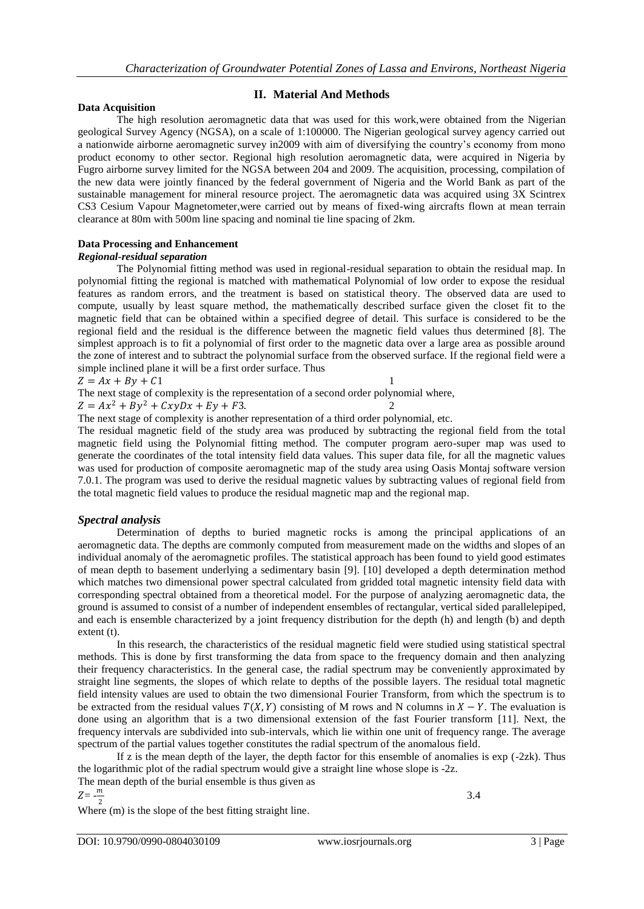## **Data Acquisition**

# **II. Material And Methods**

The high resolution aeromagnetic data that was used for this work,were obtained from the Nigerian geological Survey Agency (NGSA), on a scale of 1:100000. The Nigerian geological survey agency carried out a nationwide airborne aeromagnetic survey in2009 with aim of diversifying the country's economy from mono product economy to other sector. Regional high resolution aeromagnetic data, were acquired in Nigeria by Fugro airborne survey limited for the NGSA between 204 and 2009. The acquisition, processing, compilation of the new data were jointly financed by the federal government of Nigeria and the World Bank as part of the sustainable management for mineral resource project. The aeromagnetic data was acquired using 3X Scintrex CS3 Cesium Vapour Magnetometer,were carried out by means of fixed-wing aircrafts flown at mean terrain clearance at 80m with 500m line spacing and nominal tie line spacing of 2km.

# **Data Processing and Enhancement**

#### *Regional-residual separation*

The Polynomial fitting method was used in regional-residual separation to obtain the residual map. In polynomial fitting the regional is matched with mathematical Polynomial of low order to expose the residual features as random errors, and the treatment is based on statistical theory. The observed data are used to compute, usually by least square method, the mathematically described surface given the closet fit to the magnetic field that can be obtained within a specified degree of detail. This surface is considered to be the regional field and the residual is the difference between the magnetic field values thus determined [8]. The simplest approach is to fit a polynomial of first order to the magnetic data over a large area as possible around the zone of interest and to subtract the polynomial surface from the observed surface. If the regional field were a simple inclined plane it will be a first order surface. Thus

$$
Z = Ax + By + C1
$$

The next stage of complexity is the representation of a second order polynomial where,  $Z = Ax^2 + By^2 + CxyDx + Ey + F3.$ 

The next stage of complexity is another representation of a third order polynomial, etc.

The residual magnetic field of the study area was produced by subtracting the regional field from the total magnetic field using the Polynomial fitting method. The computer program aero-super map was used to generate the coordinates of the total intensity field data values. This super data file, for all the magnetic values was used for production of composite aeromagnetic map of the study area using Oasis Montaj software version 7.0.1. The program was used to derive the residual magnetic values by subtracting values of regional field from the total magnetic field values to produce the residual magnetic map and the regional map.

# *Spectral analysis*

Determination of depths to buried magnetic rocks is among the principal applications of an aeromagnetic data. The depths are commonly computed from measurement made on the widths and slopes of an individual anomaly of the aeromagnetic profiles. The statistical approach has been found to yield good estimates of mean depth to basement underlying a sedimentary basin [9]. [10] developed a depth determination method which matches two dimensional power spectral calculated from gridded total magnetic intensity field data with corresponding spectral obtained from a theoretical model. For the purpose of analyzing aeromagnetic data, the ground is assumed to consist of a number of independent ensembles of rectangular, vertical sided parallelepiped, and each is ensemble characterized by a joint frequency distribution for the depth (h) and length (b) and depth extent (t).

In this research, the characteristics of the residual magnetic field were studied using statistical spectral methods. This is done by first transforming the data from space to the frequency domain and then analyzing their frequency characteristics. In the general case, the radial spectrum may be conveniently approximated by straight line segments, the slopes of which relate to depths of the possible layers. The residual total magnetic field intensity values are used to obtain the two dimensional Fourier Transform, from which the spectrum is to be extracted from the residual values  $T(X, Y)$  consisting of M rows and N columns in  $X - Y$ . The evaluation is done using an algorithm that is a two dimensional extension of the fast Fourier transform [11]. Next, the frequency intervals are subdivided into sub-intervals, which lie within one unit of frequency range. The average spectrum of the partial values together constitutes the radial spectrum of the anomalous field.

If z is the mean depth of the layer, the depth factor for this ensemble of anomalies is  $\exp$  (-2zk). Thus the logarithmic plot of the radial spectrum would give a straight line whose slope is -2z.

The mean depth of the burial ensemble is thus given as

$$
Z = -\frac{m}{2}
$$

 $\frac{2}{\pi}$  Where (m) is the slope of the best fitting straight line.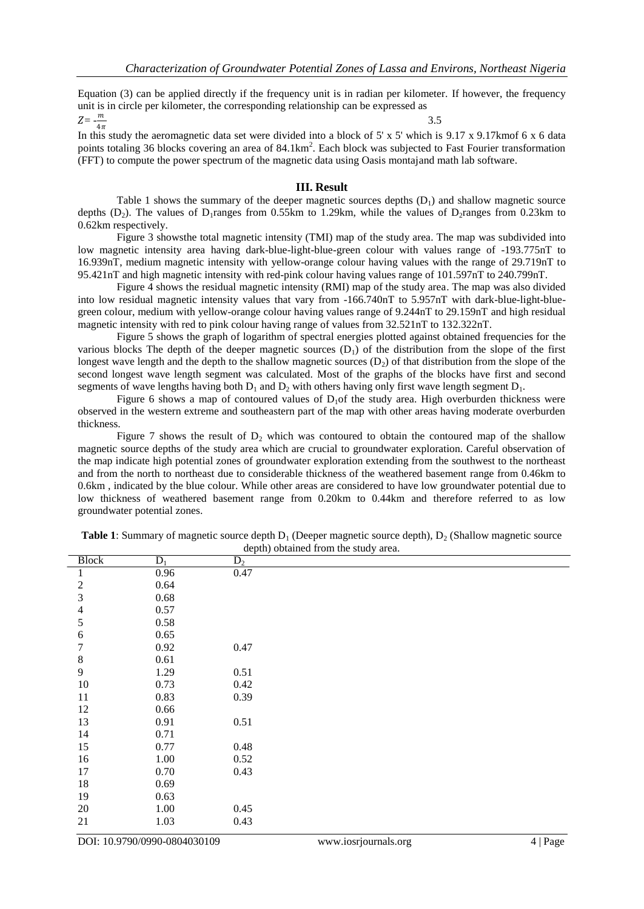Equation (3) can be applied directly if the frequency unit is in radian per kilometer. If however, the frequency unit is in circle per kilometer, the corresponding relationship can be expressed as

 $Z=-\frac{m}{4\pi}$ 

3.5

 $4\pi$ In this study the aeromagnetic data set were divided into a block of 5' x 5' which is 9.17 x 9.17kmof 6 x 6 data points totaling 36 blocks covering an area of  $84.1 \text{km}^2$ . Each block was subjected to Fast Fourier transformation (FFT) to compute the power spectrum of the magnetic data using Oasis montajand math lab software.

#### **III. Result**

Table 1 shows the summary of the deeper magnetic sources depths  $(D_1)$  and shallow magnetic source depths (D<sub>2</sub>). The values of D<sub>1</sub>ranges from 0.55km to 1.29km, while the values of D<sub>2</sub>ranges from 0.23km to 0.62km respectively.

Figure 3 showsthe total magnetic intensity (TMI) map of the study area. The map was subdivided into low magnetic intensity area having dark-blue-light-blue-green colour with values range of -193.775nT to 16.939nT, medium magnetic intensity with yellow-orange colour having values with the range of 29.719nT to 95.421nT and high magnetic intensity with red-pink colour having values range of 101.597nT to 240.799nT.

Figure 4 shows the residual magnetic intensity (RMI) map of the study area. The map was also divided into low residual magnetic intensity values that vary from -166.740nT to 5.957nT with dark-blue-light-bluegreen colour, medium with yellow-orange colour having values range of 9.244nT to 29.159nT and high residual magnetic intensity with red to pink colour having range of values from 32.521nT to 132.322nT.

Figure 5 shows the graph of logarithm of spectral energies plotted against obtained frequencies for the various blocks The depth of the deeper magnetic sources  $(D_1)$  of the distribution from the slope of the first longest wave length and the depth to the shallow magnetic sources  $(D<sub>2</sub>)$  of that distribution from the slope of the second longest wave length segment was calculated. Most of the graphs of the blocks have first and second segments of wave lengths having both  $D_1$  and  $D_2$  with others having only first wave length segment  $D_1$ .

Figure 6 shows a map of contoured values of  $D_1$  of the study area. High overburden thickness were observed in the western extreme and southeastern part of the map with other areas having moderate overburden thickness.

Figure 7 shows the result of  $D<sub>2</sub>$  which was contoured to obtain the contoured map of the shallow magnetic source depths of the study area which are crucial to groundwater exploration. Careful observation of the map indicate high potential zones of groundwater exploration extending from the southwest to the northeast and from the north to northeast due to considerable thickness of the weathered basement range from 0.46km to 0.6km , indicated by the blue colour. While other areas are considered to have low groundwater potential due to low thickness of weathered basement range from 0.20km to 0.44km and therefore referred to as low groundwater potential zones.

| <b>Block</b>     | $\overline{D_1}$ | $D_2$ |
|------------------|------------------|-------|
| 1                | 0.96             | 0.47  |
| $\mathfrak{2}$   | 0.64             |       |
| $\mathfrak{Z}$   | 0.68             |       |
| $\overline{4}$   | 0.57             |       |
| $\sqrt{5}$       | 0.58             |       |
| $\sqrt{6}$       | 0.65             |       |
| $\boldsymbol{7}$ | 0.92             | 0.47  |
| $\,8\,$          | 0.61             |       |
| $\overline{9}$   | 1.29             | 0.51  |
| 10               | 0.73             | 0.42  |
| 11               | 0.83             | 0.39  |
| 12               | 0.66             |       |
| 13               | 0.91             | 0.51  |
| 14               | 0.71             |       |
| 15               | 0.77             | 0.48  |
| 16               | $1.00\,$         | 0.52  |
| 17               | 0.70             | 0.43  |
| 18               | 0.69             |       |
| 19               | 0.63             |       |
| $20\,$           | $1.00\,$         | 0.45  |
| 21               | 1.03             | 0.43  |

**Table 1**: Summary of magnetic source depth  $D_1$  (Deeper magnetic source depth),  $D_2$  (Shallow magnetic source depth) obtained from the study area.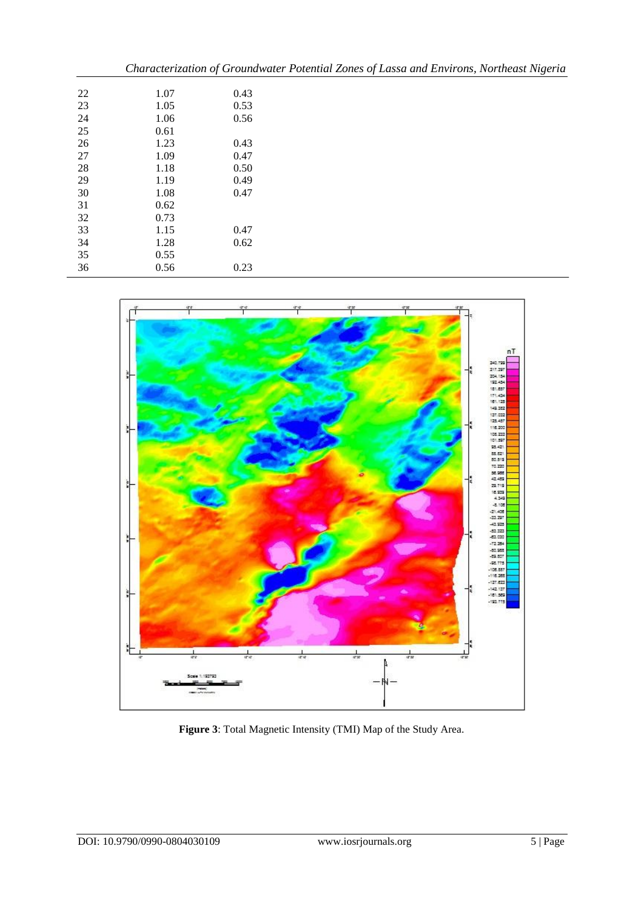|    |      |      | Characterization of Groundwater Potential Zones of Lassa and Environs, Northeast Nigeria |
|----|------|------|------------------------------------------------------------------------------------------|
| 22 | 1.07 | 0.43 |                                                                                          |
| 23 | 1.05 | 0.53 |                                                                                          |
| 24 | 1.06 | 0.56 |                                                                                          |
| 25 | 0.61 |      |                                                                                          |
| 26 | 1.23 | 0.43 |                                                                                          |
| 27 | 1.09 | 0.47 |                                                                                          |
| 28 | 1.18 | 0.50 |                                                                                          |
| 29 | 1.19 | 0.49 |                                                                                          |
| 30 | 1.08 | 0.47 |                                                                                          |
| 31 | 0.62 |      |                                                                                          |
| 32 | 0.73 |      |                                                                                          |
| 33 | 1.15 | 0.47 |                                                                                          |
| 34 | 1.28 | 0.62 |                                                                                          |
| 35 | 0.55 |      |                                                                                          |
| 36 | 0.56 | 0.23 |                                                                                          |



**Figure 3**: Total Magnetic Intensity (TMI) Map of the Study Area.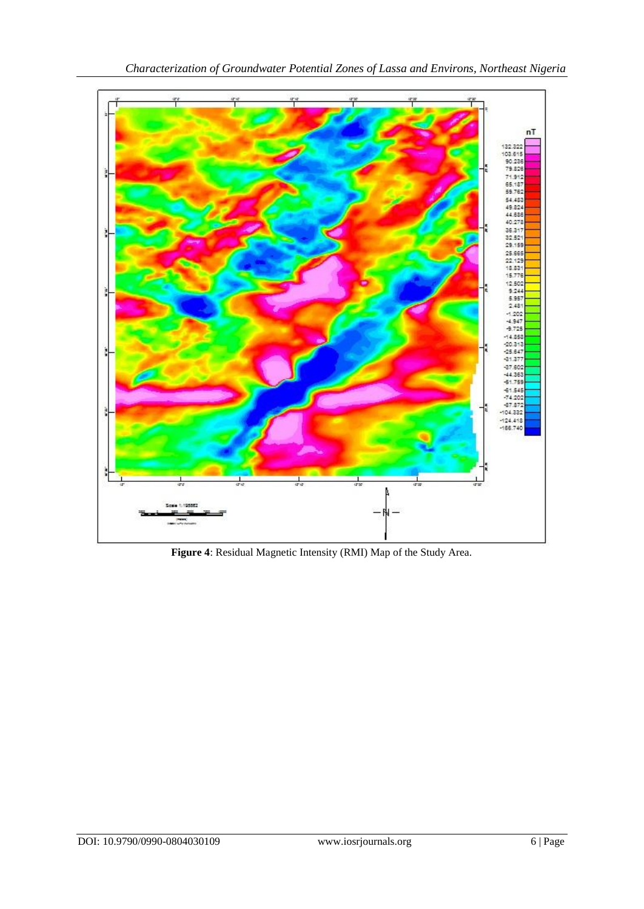

**Figure 4**: Residual Magnetic Intensity (RMI) Map of the Study Area.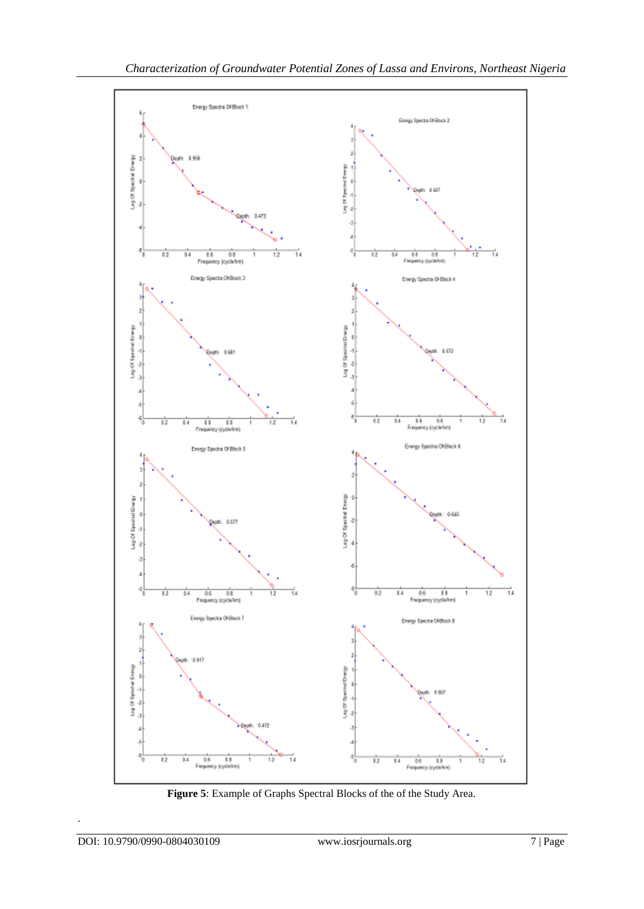

**Figure 5**: Example of Graphs Spectral Blocks of the of the Study Area.

.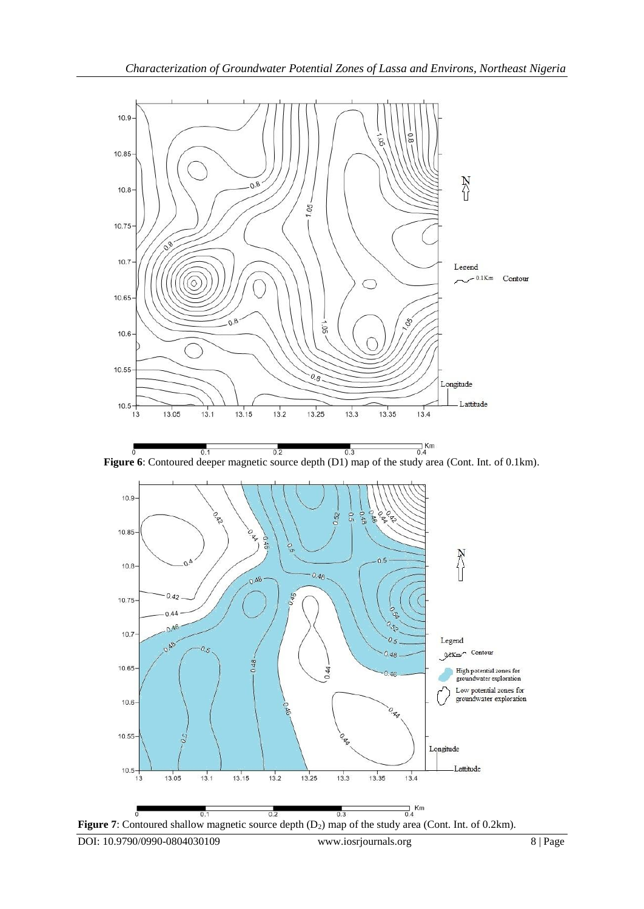

 $\frac{1}{0.4}$ Km  $0.1$  $0.2$  $0.3$ **Figure 6**: Contoured deeper magnetic source depth (D1) map of the study area (Cont. Int. of 0.1km).



Figure 7: Contoured shallow magnetic source depth (D<sub>2</sub>) map of the study area (Cont. Int. of 0.2km).